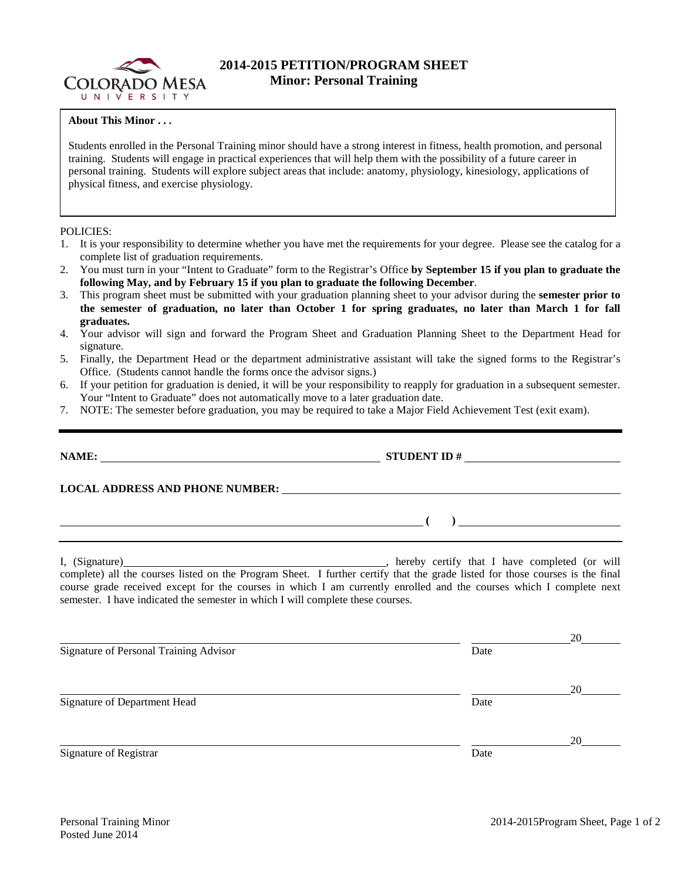

## **2014-2015 PETITION/PROGRAM SHEET Minor: Personal Training**

## **About This Minor . . .**

Students enrolled in the Personal Training minor should have a strong interest in fitness, health promotion, and personal training. Students will engage in practical experiences that will help them with the possibility of a future career in personal training. Students will explore subject areas that include: anatomy, physiology, kinesiology, applications of physical fitness, and exercise physiology.

## POLICIES:

- 1. It is your responsibility to determine whether you have met the requirements for your degree. Please see the catalog for a complete list of graduation requirements.
- 2. You must turn in your "Intent to Graduate" form to the Registrar's Office **by September 15 if you plan to graduate the following May, and by February 15 if you plan to graduate the following December**.
- 3. This program sheet must be submitted with your graduation planning sheet to your advisor during the **semester prior to the semester of graduation, no later than October 1 for spring graduates, no later than March 1 for fall graduates.**
- 4. Your advisor will sign and forward the Program Sheet and Graduation Planning Sheet to the Department Head for signature.
- 5. Finally, the Department Head or the department administrative assistant will take the signed forms to the Registrar's Office. (Students cannot handle the forms once the advisor signs.)
- 6. If your petition for graduation is denied, it will be your responsibility to reapply for graduation in a subsequent semester. Your "Intent to Graduate" does not automatically move to a later graduation date.
- 7. NOTE: The semester before graduation, you may be required to take a Major Field Achievement Test (exit exam).

|                                               | $\overline{a}$ ( ) is a set of $\overline{a}$ ( ) is a set of $\overline{a}$ ( ) is a set of $\overline{a}$                                                                                                                                                                                                                                                                                                  |  |  |  |  |  |  |
|-----------------------------------------------|--------------------------------------------------------------------------------------------------------------------------------------------------------------------------------------------------------------------------------------------------------------------------------------------------------------------------------------------------------------------------------------------------------------|--|--|--|--|--|--|
|                                               | I, (Signature) (1) (Signature) (1) (Signature) (1) (Signature) (1) (Signature) all the courses listed on the Program Sheet. I further certify that the grade listed for those courses is the final<br>course grade received except for the courses in which I am currently enrolled and the courses which I complete next<br>semester. I have indicated the semester in which I will complete these courses. |  |  |  |  |  |  |
| <b>Signature of Personal Training Advisor</b> | 20<br>Date                                                                                                                                                                                                                                                                                                                                                                                                   |  |  |  |  |  |  |
| <b>Signature of Department Head</b>           | 20<br>Date                                                                                                                                                                                                                                                                                                                                                                                                   |  |  |  |  |  |  |
| Signature of Registrar                        | 20<br>Date                                                                                                                                                                                                                                                                                                                                                                                                   |  |  |  |  |  |  |